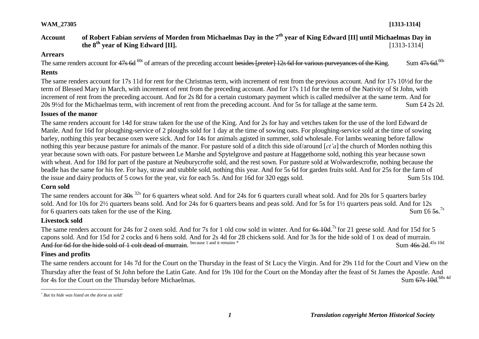# **Account of Robert Fabian** *serviens* **of Morden from Michaelmas Day in the 7th year of King Edward [II] until Michaelmas Day in the**  $8^{\text{th}}$  **vear of King Edward [II].** [1313-1314]

### **Arrears**

The same renders account for 47s 6d <sup>60s</sup> of arrears of the preceding account besides [*preter*] 12s 6d for various purveyances of the King. Sum 47s 6d.<sup>60s</sup>

# **Rents**

The same renders account for 17s 11d for rent for the Christmas term, with increment of rent from the previous account. And for 17s 10½d for the term of Blessed Mary in March, with increment of rent from the preceding account. And for 17s 11d for the term of the Nativity of St John, with increment of rent from the preceding account. And for 2s 8d for a certain customary payment which is called medsilver at the same term. And for 20s 9½d for the Michaelmas term, with increment of rent from the preceding account. And for 5s for tallage at the same term. Sum £4 2s 2d.

## **Issues of the manor**

The same renders account for 14d for straw taken for the use of the King. And for 2s for hay and vetches taken for the use of the lord Edward de Manle. And for 16d for ploughing-service of 2 ploughs sold for 1 day at the time of sowing oats. For ploughing-service sold at the time of sowing barley, nothing this year because oxen were sick. And for 14s for animals agisted in summer, sold wholesale. For lambs weaning before fallow nothing this year because pasture for animals of the manor. For pasture sold of a ditch this side of/around [*ct'a*] the church of Morden nothing this year because sown with oats. For pasture between Le Marshe and Spytelgrove and pasture at Haggethorne sold, nothing this year because sown with wheat. And for 18d for part of the pasture at Neuburycrofte sold, and the rest sown. For pasture sold at Wolwardescrofte, nothing because the beadle has the same for his fee. For hay, straw and stubble sold, nothing this year. And for 5s 6d for garden fruits sold. And for 25s for the farm of the issue and dairy products of 5 cows for the year, viz for each 5s. And for 16d for 320 eggs sold. Sum 51s 10d.

## **Corn sold**

The same renders account for 30s <sup>32s</sup> for 6 quarters wheat sold. And for 24s for 6 quarters curall wheat sold. And for 20s for 5 quarters barley sold. And for 10s for 2½ quarters beans sold. And for 24s for 6 quarters beans and peas sold. And for 5s for 1½ quarters peas sold. And for 12s for 6 quarters oats taken for the use of the King. Sum £6.5s  $7s$ 

## **Livestock sold**

The same renders account for 24s for 2 oxen sold. And for 7s for 1 old cow sold in winter. And for 6s 10d.<sup>7s</sup> for 21 geese sold. And for 15d for 5 capons sold. And for 15d for 2 cocks and 6 hens sold. And for 2s 4d for 28 chickens sold. And for 3s for the hide sold of 1 ox dead of murrain. And for 6d for the hide sold of 1 colt dead of murrain. because 1 and it remains \* Sum 4<del>6s 2d</del>.<sup>45s 10d</sup>

# **Fines and profits**

The same renders account for 14s 7d for the Court on the Thursday in the feast of St Lucy the Virgin. And for 29s 11d for the Court and View on the Thursday after the feast of St John before the Latin Gate. And for 19s 10d for the Court on the Monday after the feast of St James the Apostle. And for 4s for the Court on the Thursday before Michaelmas. Sum 67s 10d 68s 4d

 $\overline{a}$ *\* But its hide was listed on the dorse as sold!*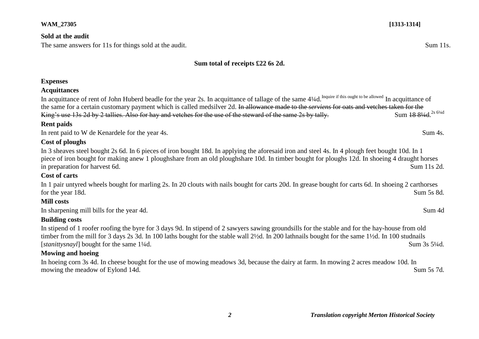### **Sold at the audit**

The same answers for 11s for things sold at the audit. Sum 11s. Sum 11s.

## **Sum total of receipts £22 6s 2d.**

### **Expenses**

### **Acquittances**

In acquittance of rent of John Huberd beadle for the year 2s. In acquittance of tallage of the same 4¼d.<sup>Inquire if this ought to be allowed</sup> In acquittance of the same for a certain customary payment which is called medsilver 2d. In allowance made to the *serviens* for oats and vetches taken for the King's use 13s 2d by 2 tallies. Also for hay and vetches for the use of the steward of the same 2s by tally. Sum 18 81/4d <sup>2s 61/4d</sup>

## **Rent paids**

In rent paid to W de Kenardele for the year 4s. Sum 4s.

## **Cost of ploughs**

In 3 sheaves steel bought 2s 6d. In 6 pieces of iron bought 18d. In applying the aforesaid iron and steel 4s. In 4 plough feet bought 10d. In 1 piece of iron bought for making anew 1 ploughshare from an old ploughshare 10d. In timber bought for ploughs 12d. In shoeing 4 draught horses in preparation for harvest 6d. Sum 11s 2d.

## **Cost of carts**

In 1 pair untyred wheels bought for marling 2s. In 20 clouts with nails bought for carts 20d. In grease bought for carts 6d. In shoeing 2 carthorses for the year 18d. Sum 5s 8d.

## **Mill costs**

In sharpening mill bills for the year 4d. Sum 4d

## **Building costs**

In stipend of 1 roofer roofing the byre for 3 days 9d. In stipend of 2 sawyers sawing groundsills for the stable and for the hay-house from old timber from the mill for 3 days 2s 3d. In 100 laths bought for the stable wall 2½d. In 200 lathnails bought for the same 1½d. In 100 studnails [*stanittysnayl*] bought for the same 1<sup>1</sup>/4d. Sum 3s 5<sup>1/4d.</sup>

## **Mowing and hoeing**

In hoeing corn 3s 4d. In cheese bought for the use of mowing meadows 3d, because the dairy at farm. In mowing 2 acres meadow 10d. In mowing the meadow of Eylond 14d. Sum 5s 7d.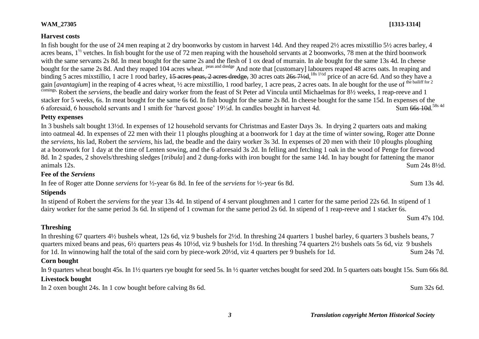### *3 Translation copyright Merton Historical Society*

## **Threshing**

**Stipends**

In threshing 67 quarters 4½ bushels wheat, 12s 6d, viz 9 bushels for 2½d. In threshing 24 quarters 1 bushel barley, 6 quarters 3 bushels beans, 7 quarters mixed beans and peas, 6½ quarters peas 4s 10½d, viz 9 bushels for 1½d. In threshing 74 quarters 2½ bushels oats 5s 6d, viz 9 bushels for 1d. In winnowing half the total of the said corn by piece-work 20½d, viz 4 quarters per 9 bushels for 1d. Sum 24s 7d.

In stipend of Robert the *serviens* for the year 13s 4d. In stipend of 4 servant ploughmen and 1 carter for the same period 22s 6d. In stipend of 1

dairy worker for the same period 3s 6d. In stipend of 1 cowman for the same period 2s 6d. In stipend of 1 reap-reeve and 1 stacker 6s.

### **Corn bought**

In 9 quarters wheat bought 45s. In 1½ quarters rye bought for seed 5s. In ½ quarter vetches bought for seed 20d. In 5 quarters oats bought 15s. Sum 66s 8d.

### **Livestock bought**

In 2 oxen bought 24s. In 1 cow bought before calving 8s 6d. Sum 32s 6d.

In 3 bushels salt bought 13½d. In expenses of 12 household servants for Christmas and Easter Days 3s. In drying 2 quarters oats and making into oatmeal 4d. In expenses of 22 men with their 11 ploughs ploughing at a boonwork for 1 day at the time of winter sowing, Roger atte Donne the *serviens*, his lad, Robert the *serviens*, his lad, the beadle and the dairy worker 3s 3d. In expenses of 20 men with their 10 ploughs ploughing at a boonwork for 1 day at the time of Lenten sowing, and the 6 aforesaid 3s 2d. In felling and fetching 1 oak in the wood of Penge for firewood 8d. In 2 spades, 2 shovels/threshing sledges [*tribula*] and 2 dung-forks with iron bought for the same 14d. In hay bought for fattening the manor animals  $12s$ . Sum  $24s\,8\frac{1}{2}d$ .

# **Petty expenses**

**Fee of the** *Serviens*

In fee of Roger atte Donne *serviens* for ½-year 6s 8d. In fee of the *serviens* for ½-year 6s 8d. Sum 13s 4d.

### **Harvest costs**

In fish bought for the use of 24 men reaping at 2 dry boonworks by custom in harvest 14d. And they reaped 2½ acres mixstillio 5½ acres barley, 4 acres beans,  $1^{\frac{1}{2}}$  vetches. In fish bought for the use of 72 men reaping with the household servants at 2 boonworks, 78 men at the third boonwork with the same servants 2s 8d. In meat bought for the same 2s and the flesh of 1 ox dead of murrain. In ale bought for the same 13s 4d. In cheese bought for the same 2s 8d. And they reaped 104 acres wheat. <sup>peas and dredge</sup> And note that [customary] labourers reaped 48 acres oats. In reaping and binding 5 acres mixstillio, 1 acre 1 rood barley, <del>15 acres peas, 2 acres dredge,</del> 30 acres oats 26s 71/2d, <sup>18s 1/2d</sup> price of an acre 6d. And so they have a gain [*avantagium*] in the reaping of 4 acres wheat, 1/2 acre mixstillio, 1 rood barley, 1 acre peas, 2 acres oats. In ale bought for the use of <sup>the bailiff for 2</sup> comings, Robert the *serviens*, the beadle and dairy worker from the feast of St Peter ad Vincula until Michaelmas for 8½ weeks, 1 reap-reeve and 1 stacker for 5 weeks, 6s. In meat bought for the same 6s 6d. In fish bought for the same 2s 8d. In cheese bought for the same 15d. In expenses of the 6 aforesaid, 6 household servants and 1 smith for 'harvest goose'  $19\frac{1}{2}$ d. In candles bought in harvest 4d. Sum 66s 10d 58s 4d

Sum 47s 10d.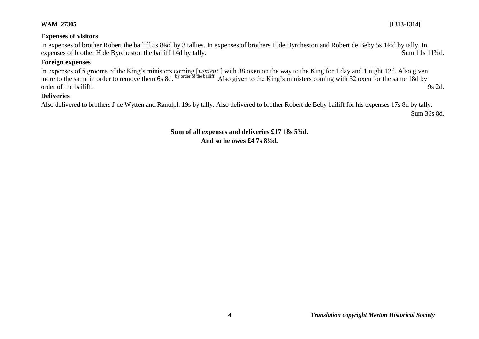## **Expenses of visitors**

In expenses of brother Robert the bailiff 5s 8¼d by 3 tallies. In expenses of brothers H de Byrcheston and Robert de Beby 5s 1½d by tally. In expenses of brother H de Byrcheston the bailiff 14d by tally. Sum 11s 11<sup>3</sup>/4d.

# **Foreign expenses**

In expenses of 5 grooms of the King's ministers coming [*venient'*] with 38 oxen on the way to the King for 1 day and 1 night 12d. Also given more to the same in order to remove them 6s 8d. by order of the bailiff Also given to the King's ministers coming with 32 oxen for the same 18d by order of the bailiff. 9s 2d.

## **Deliveries**

Also delivered to brothers J de Wytten and Ranulph 19s by tally. Also delivered to brother Robert de Beby bailiff for his expenses 17s 8d by tally.

Sum 36s 8d.

**Sum of all expenses and deliveries £17 18s 5¾d. And so he owes £4 7s 8¼d.**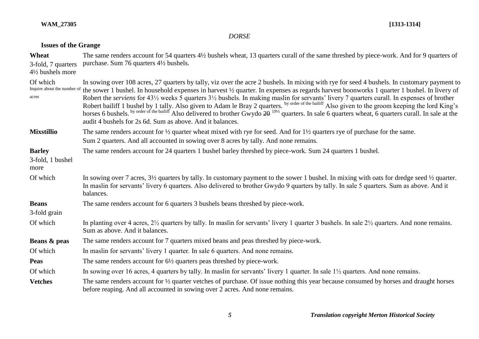# *DORSE*

# **Issues of the Grange**

| Wheat<br>3-fold, 7 quarters<br>4½ bushels more   | The same renders account for 54 quarters 4½ bushels wheat, 13 quarters curall of the same threshed by piece-work. And for 9 quarters of<br>purchase. Sum 76 quarters 4½ bushels.                                                                                                                                                                                                                                                                                                                                                                                                                                                                                                                                                                                                          |
|--------------------------------------------------|-------------------------------------------------------------------------------------------------------------------------------------------------------------------------------------------------------------------------------------------------------------------------------------------------------------------------------------------------------------------------------------------------------------------------------------------------------------------------------------------------------------------------------------------------------------------------------------------------------------------------------------------------------------------------------------------------------------------------------------------------------------------------------------------|
| Of which<br>Inquire about the number of<br>acres | In sowing over 108 acres, 27 quarters by tally, viz over the acre 2 bushels. In mixing with rye for seed 4 bushels. In customary payment to<br>the sower 1 bushel. In household expenses in harvest 1/2 quarter. In expenses as regards harvest boonworks 1 quarter 1 bushel. In livery of<br>Robert the serviens for 43 <sup>1</sup> / <sub>2</sub> weeks 5 quarters 3 <sup>1</sup> / <sub>2</sub> bushels. In making maslin for servants' livery 7 quarters curall. In expenses of brother<br>Robert bailiff 1 bushel by 1 tally. Also given to Adam le Bray 2 quarters. by order of the bailiff Also given to the groom keeping the lord King's horses 6 bushels. by order of the bailiff Also delivered to brother Gwydo<br>audit 4 bushels for 2s 6d. Sum as above. And it balances. |
| <b>Mixstillio</b>                                | The same renders account for $\frac{1}{2}$ quarter wheat mixed with rye for seed. And for $1\frac{1}{2}$ quarters rye of purchase for the same.<br>Sum 2 quarters. And all accounted in sowing over 8 acres by tally. And none remains.                                                                                                                                                                                                                                                                                                                                                                                                                                                                                                                                                   |
| <b>Barley</b><br>3-fold, 1 bushel<br>more        | The same renders account for 24 quarters 1 bushel barley threshed by piece-work. Sum 24 quarters 1 bushel.                                                                                                                                                                                                                                                                                                                                                                                                                                                                                                                                                                                                                                                                                |
| Of which                                         | In sowing over 7 acres, $3\frac{1}{2}$ quarters by tally. In customary payment to the sower 1 bushel. In mixing with oats for dredge seed $\frac{1}{2}$ quarter.<br>In maslin for servants' livery 6 quarters. Also delivered to brother Gwydo 9 quarters by tally. In sale 5 quarters. Sum as above. And it<br>balances.                                                                                                                                                                                                                                                                                                                                                                                                                                                                 |
| <b>Beans</b><br>3-fold grain                     | The same renders account for 6 quarters 3 bushels beans threshed by piece-work.                                                                                                                                                                                                                                                                                                                                                                                                                                                                                                                                                                                                                                                                                                           |
| Of which                                         | In planting over 4 acres, $2\frac{1}{2}$ quarters by tally. In maslin for servants' livery 1 quarter 3 bushels. In sale $2\frac{1}{2}$ quarters. And none remains.<br>Sum as above. And it balances.                                                                                                                                                                                                                                                                                                                                                                                                                                                                                                                                                                                      |
| Beans & peas                                     | The same renders account for 7 quarters mixed beans and peas threshed by piece-work.                                                                                                                                                                                                                                                                                                                                                                                                                                                                                                                                                                                                                                                                                                      |
| Of which                                         | In maslin for servants' livery 1 quarter. In sale 6 quarters. And none remains.                                                                                                                                                                                                                                                                                                                                                                                                                                                                                                                                                                                                                                                                                                           |
| <b>Peas</b>                                      | The same renders account for $6\frac{1}{2}$ quarters peas threshed by piece-work.                                                                                                                                                                                                                                                                                                                                                                                                                                                                                                                                                                                                                                                                                                         |
| Of which                                         | In sowing over 16 acres, 4 quarters by tally. In maslin for servants' livery 1 quarter. In sale 1 <sup>1</sup> / <sub>2</sub> quarters. And none remains.                                                                                                                                                                                                                                                                                                                                                                                                                                                                                                                                                                                                                                 |
| <b>Vetches</b>                                   | The same renders account for 1/2 quarter vetches of purchase. Of issue nothing this year because consumed by horses and draught horses<br>before reaping. And all accounted in sowing over 2 acres. And none remains.                                                                                                                                                                                                                                                                                                                                                                                                                                                                                                                                                                     |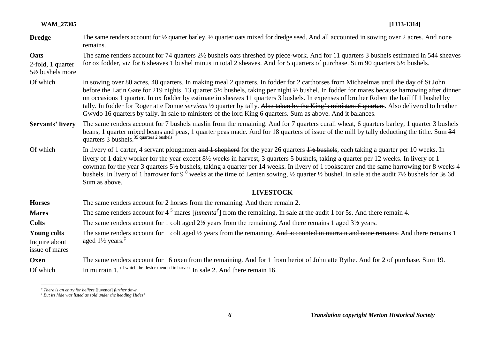|                  | $[1313-1314]$ |
|------------------|---------------|
| <b>WAM 27305</b> |               |

**Dredge** The same renders account for <sup>1/2</sup> quarter barley, <sup>1/2</sup> quarter oats mixed for dredge seed. And all accounted in sowing over 2 acres. And none remains.

**Oats**  2-fold, 1 quarter 5½ bushels more The same renders account for 74 quarters 2½ bushels oats threshed by piece-work. And for 11 quarters 3 bushels estimated in 544 sheaves for ox fodder, viz for 6 sheaves 1 bushel minus in total 2 sheaves. And for 5 quarters of purchase. Sum 90 quarters 5½ bushels.

- Of which In sowing over 80 acres, 40 quarters. In making meal 2 quarters. In fodder for 2 carthorses from Michaelmas until the day of St John before the Latin Gate for 219 nights, 13 quarter 5½ bushels, taking per night ½ bushel. In fodder for mares because harrowing after dinner on occasions 1 quarter. In ox fodder by estimate in sheaves 11 quarters 3 bushels. In expenses of brother Robert the bailiff 1 bushel by tally. In fodder for Roger atte Donne *serviens* ½ quarter by tally. Also taken by the King's ministers 6 quarters. Also delivered to brother Gwydo 16 quarters by tally. In sale to ministers of the lord King 6 quarters. Sum as above. And it balances.
- **Servants' livery** The same renders account for 7 bushels maslin from the remaining. And for 7 quarters curall wheat, 6 quarters barley, 1 quarter 3 bushels beans, 1 quarter mixed beans and peas, 1 quarter peas made. And for 18 quarters of issue of the mill by tally deducting the tithe. Sum 34 quarters 3 bushels.<sup>35</sup> quarters 2 bushels
- Of which In livery of 1 carter, 4 servant ploughmen and 1 shepherd for the year 26 quarters  $\frac{1}{2}$  bushels, each taking a quarter per 10 weeks. In livery of 1 dairy worker for the year except 8½ weeks in harvest, 3 quarters 5 bushels, taking a quarter per 12 weeks. In livery of 1 cowman for the year 3 quarters 5½ bushels, taking a quarter per 14 weeks. In livery of 1 rookscarer and the same harrowing for 8 weeks 4 bushels. In livery of 1 harrower for 9<sup>8</sup> weeks at the time of Lenten sowing, 1/2 quarter 1/2 bushel. In sale at the audit 7<sup>1</sup>/2 bushels for 3s 6d. Sum as above.

## **LIVESTOCK**

**Horses** The same renders account for 2 horses from the remaining. And there remain 2. **Mares** The same renders account for 4<sup>5</sup> mares [*jumenta<sup>†</sup>*] from the remaining. In sale at the audit 1 for 5s. And there remain 4. **Colts** The same renders account for 1 colt aged 2<sup>1</sup>/<sub>2</sub> years from the remaining. And there remains 1 aged 3<sup>1</sup>/<sub>2</sub> years. **Young colts** Inquire about issue of mares The same renders account for 1 colt aged 1/2 years from the remaining. And accounted in murrain and none remains. And there remains 1 aged  $1\frac{1}{2}$  years.<sup>‡</sup> **Oxen** The same renders account for 16 oxen from the remaining. And for 1 from heriot of John atte Rythe. And for 2 of purchase. Sum 19. Of which In murrain 1. of which the flesh expended in harvest  $\text{In sale 2.}$  And there remain 16.

 $\overline{a}$ 

*<sup>†</sup> There is an entry for heifers* [juvenca] *further down.*

*<sup>‡</sup> But its hide was listed as sold under the heading Hides!*